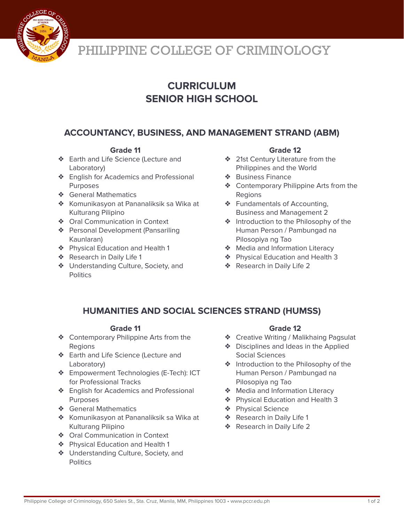

# PHILIPPINE COLLEGE OF CRIMINOLOGY

## **CURRICULUM SENIOR HIGH SCHOOL**

## **ACCOUNTANCY, BUSINESS, AND MANAGEMENT STRAND (ABM)**

### **Grade 11**

- ❖ Earth and Life Science (Lecture and Laboratory)
- ❖ English for Academics and Professional Purposes
- ❖ General Mathematics
- ❖ Komunikasyon at Pananaliksik sa Wika at Kulturang Pilipino
- ❖ Oral Communication in Context
- ❖ Personal Development (Pansariling Kaunlaran)
- ❖ Physical Education and Health 1
- ❖ Research in Daily Life 1
- ❖ Understanding Culture, Society, and **Politics**

#### **Grade 12**

- ❖ 21st Century Literature from the Philippines and the World
- ❖ Business Finance
- ❖ Contemporary Philippine Arts from the Regions
- ❖ Fundamentals of Accounting, Business and Management 2
- ❖ Introduction to the Philosophy of the Human Person / Pambungad na Pilosopiya ng Tao
- ❖ Media and Information Literacy
- ❖ Physical Education and Health 3
- ❖ Research in Daily Life 2

## **HUMANITIES AND SOCIAL SCIENCES STRAND (HUMSS)**

#### **Grade 11**

- ❖ Contemporary Philippine Arts from the **Regions**
- ❖ Earth and Life Science (Lecture and Laboratory)
- ❖ Empowerment Technologies (E-Tech): ICT for Professional Tracks
- ❖ English for Academics and Professional **Purposes**
- ❖ General Mathematics
- ❖ Komunikasyon at Pananaliksik sa Wika at Kulturang Pilipino
- ❖ Oral Communication in Context
- ❖ Physical Education and Health 1
- ❖ Understanding Culture, Society, and **Politics**

### **Grade 12**

- ❖ Creative Writing / Malikhaing Pagsulat
- ❖ Disciplines and Ideas in the Applied Social Sciences
- ❖ Introduction to the Philosophy of the Human Person / Pambungad na Pilosopiya ng Tao
- ❖ Media and Information Literacy
- ❖ Physical Education and Health 3
- ❖ Physical Science
- ❖ Research in Daily Life 1
- ❖ Research in Daily Life 2